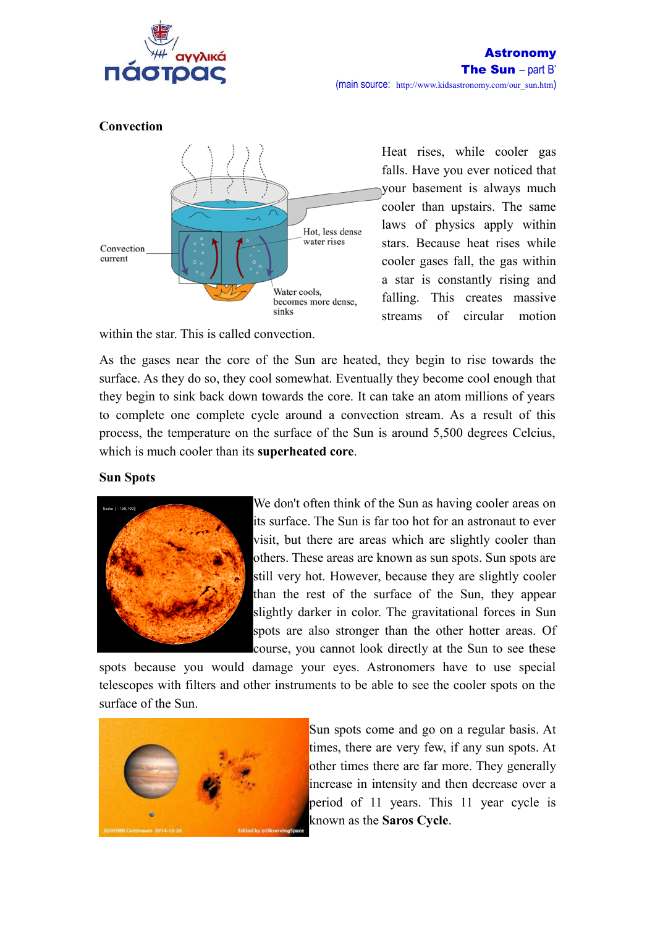

## **Convection**



within the star. This is called convection.

Heat rises, while cooler gas falls. Have you ever noticed that your basement is always much cooler than upstairs. The same laws of physics apply within stars. Because heat rises while cooler gases fall, the gas within a star is constantly rising and falling. This creates massive streams of circular motion

As the gases near the core of the Sun are heated, they begin to rise towards the surface. As they do so, they cool somewhat. Eventually they become cool enough that they begin to sink back down towards the core. It can take an atom millions of years to complete one complete cycle around a convection stream. As a result of this process, the temperature on the surface of the Sun is around 5,500 degrees Celcius, which is much cooler than its **superheated core**.

# **Sun Spots**



We don't often think of the Sun as having cooler areas on its surface. The Sun is far too hot for an astronaut to ever visit, but there are areas which are slightly cooler than others. These areas are known as sun spots. Sun spots are still very hot. However, because they are slightly cooler than the rest of the surface of the Sun, they appear slightly darker in color. The gravitational forces in Sun spots are also stronger than the other hotter areas. Of course, you cannot look directly at the Sun to see these

spots because you would damage your eyes. Astronomers have to use special telescopes with filters and other instruments to be able to see the cooler spots on the surface of the Sun.



Sun spots come and go on a regular basis. At times, there are very few, if any sun spots. At other times there are far more. They generally increase in intensity and then decrease over a period of 11 years. This 11 year cycle is known as the **Saros Cycle**.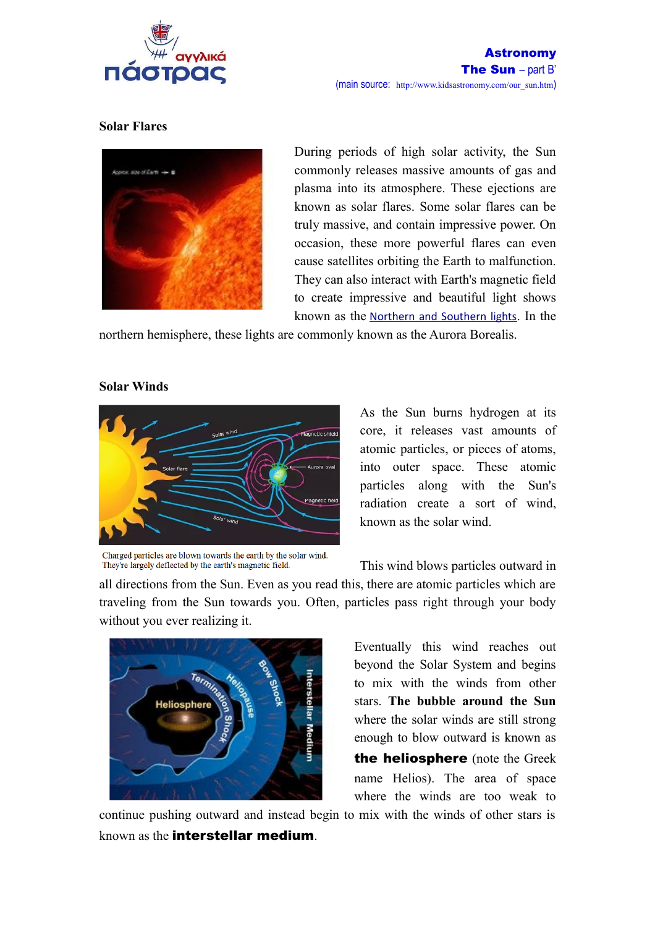

## **Solar Flares**



During periods of high solar activity, the Sun commonly releases massive amounts of gas and plasma into its atmosphere. These ejections are known as solar flares. Some solar flares can be truly massive, and contain impressive power. On occasion, these more powerful flares can even cause satellites orbiting the Earth to malfunction. They can also interact with Earth's magnetic field to create impressive and beautiful light shows known as the [Northern and Southern lights](http://www.kidsastronomy.com/aurora-article-official.htm). In the

northern hemisphere, these lights are commonly known as the Aurora Borealis.

### **Solar Winds**



As the Sun burns hydrogen at its core, it releases vast amounts of atomic particles, or pieces of atoms, into outer space. These atomic particles along with the Sun's radiation create a sort of wind, known as the solar wind.

Charged particles are blown towards the earth by the solar wind. They're largely deflected by the earth's magnetic field.

This wind blows particles outward in

all directions from the Sun. Even as you read this, there are atomic particles which are traveling from the Sun towards you. Often, particles pass right through your body without you ever realizing it.



Eventually this wind reaches out beyond the Solar System and begins to mix with the winds from other stars. **The bubble around the Sun** where the solar winds are still strong enough to blow outward is known as the heliosphere (note the Greek name Helios). The area of space where the winds are too weak to

continue pushing outward and instead begin to mix with the winds of other stars is known as the interstellar medium.